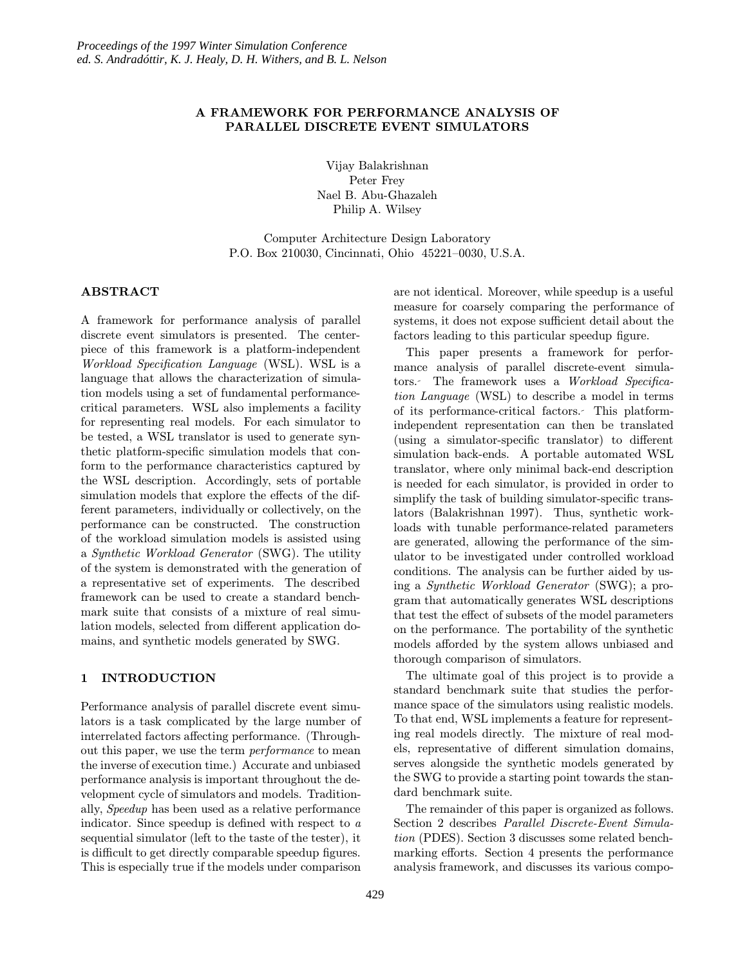# A FRAMEWORK FOR PERFORMANCE ANALYSIS OF PARALLEL DISCRETE EVENT SIMULATORS

Vijay Balakrishnan Peter Frey Nael B. Abu-Ghazaleh Philip A. Wilsey

Computer Architecture Design Laboratory P.O. Box 210030, Cincinnati, Ohio 45221–0030, U.S.A.

# ABSTRACT

A framework for performance analysis of parallel discrete event simulators is presented. The centerpiece of this framework is a platform-independent Workload Specification Language (WSL). WSL is a language that allows the characterization of simulation models using a set of fundamental performancecritical parameters. WSL also implements a facility for representing real models. For each simulator to be tested, a WSL translator is used to generate synthetic platform-specific simulation models that conform to the performance characteristics captured by the WSL description. Accordingly, sets of portable simulation models that explore the effects of the different parameters, individually or collectively, on the performance can be constructed. The construction of the workload simulation models is assisted using a Synthetic Workload Generator (SWG). The utility of the system is demonstrated with the generation of a representative set of experiments. The described framework can be used to create a standard benchmark suite that consists of a mixture of real simulation models, selected from different application domains, and synthetic models generated by SWG.

#### 1 INTRODUCTION

Performance analysis of parallel discrete event simulators is a task complicated by the large number of interrelated factors affecting performance. (Throughout this paper, we use the term performance to mean the inverse of execution time.) Accurate and unbiased performance analysis is important throughout the development cycle of simulators and models. Traditionally, Speedup has been used as a relative performance indicator. Since speedup is defined with respect to a sequential simulator (left to the taste of the tester), it is difficult to get directly comparable speedup figures. This is especially true if the models under comparison

are not identical. Moreover, while speedup is a useful measure for coarsely comparing the performance of systems, it does not expose sufficient detail about the factors leading to this particular speedup figure.

This paper presents a framework for performance analysis of parallel discrete-event simulators. The framework uses a Workload Specification Language (WSL) to describe a model in terms of its performance-critical factors. This platformindependent representation can then be translated (using a simulator-specific translator) to different simulation back-ends. A portable automated WSL translator, where only minimal back-end description is needed for each simulator, is provided in order to simplify the task of building simulator-specific translators (Balakrishnan 1997). Thus, synthetic workloads with tunable performance-related parameters are generated, allowing the performance of the simulator to be investigated under controlled workload conditions. The analysis can be further aided by using a Synthetic Workload Generator (SWG); a program that automatically generates WSL descriptions that test the effect of subsets of the model parameters on the performance. The portability of the synthetic models afforded by the system allows unbiased and thorough comparison of simulators.

The ultimate goal of this project is to provide a standard benchmark suite that studies the performance space of the simulators using realistic models. To that end, WSL implements a feature for representing real models directly. The mixture of real models, representative of different simulation domains, serves alongside the synthetic models generated by the SWG to provide a starting point towards the standard benchmark suite.

The remainder of this paper is organized as follows. Section 2 describes Parallel Discrete-Event Simulation (PDES). Section 3 discusses some related benchmarking efforts. Section 4 presents the performance analysis framework, and discusses its various compo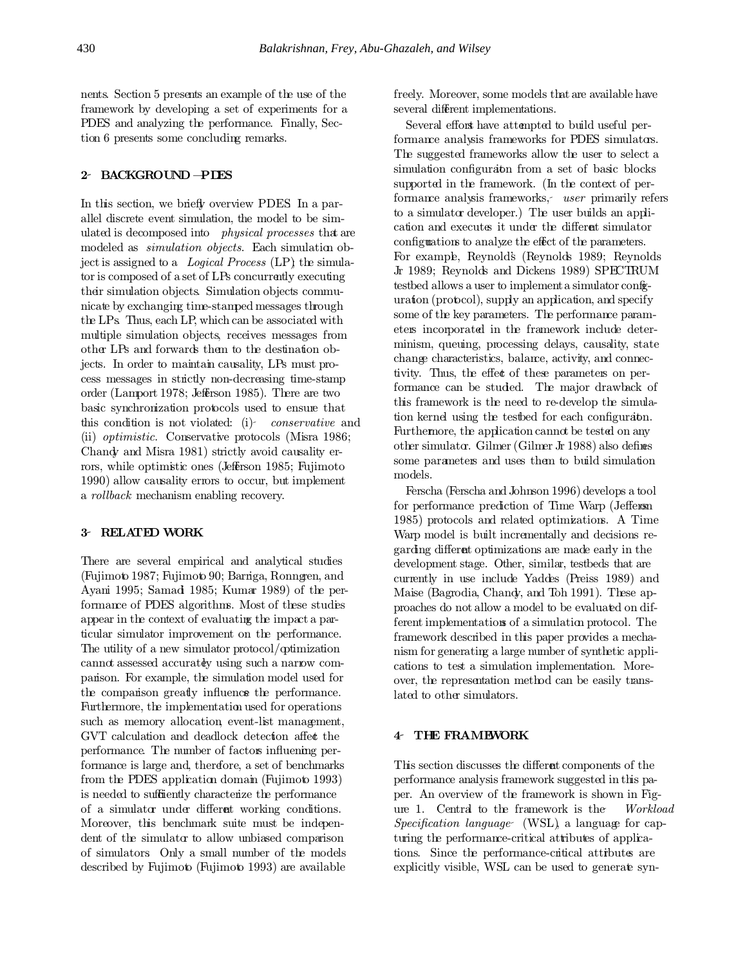nents. Section 5 presents an example of the use of the framework by developing a set of experiments for a PDES and analyzing the performance. Finally, Section 6 presents some concluding remarks.

# 2 BACKGROUND —PDES

In this section, we briefly overview PDES. In a parallel discrete event simulation, the model to be simulated is decomposed into physical processes that are modeled as *simulation objects*. Each simulation object is assigned to a Logical Process  $(LP)$  the simulator is composed of a set of LPs concurrently executing their simulation objects. Simulation objects communicate by exchanging time-stamped messages through the LPs. Thus, each LP, which can be associated with multiple simulation objects, receives messages from other LPs and forwards them to the destination objects. In order to maintain causality, LPs must process messages in strictly non-decreasing time-stamp order (Lamport 1978; Jefferson 1985). There are two basic synchronization protocols used to ensure that this condition is not violated: (i) conservative and (ii) optimistic. Conservative protocols (Misra 1986; Chandy and Misra 1981) strictly avoid causality errors, while optimistic ones (Jefferson 1985; Fujimoto 1990) allow causality errors to occur, but implement a rollback mechanism enabling recovery.

# 3 RELATED WORK

There are several empirical and analytical studies (Fujimoto 1987; Fujimoto 90; Barriga, Ronngren, and Ayani 1995; Samad 1985; Kumar 1989) of the performance of PDES algorithms. Most of these studies appear in the context of evaluating the impact a particular simulator improvement on the performance. The utility of a new simulator protocol/optimization cannot assessed accurately using such a narrow comparison. For example, the simulation model used for the comparison greatly influences the performance. Furthermore, the implementation used for operations such as memory allocation, event-list management, GVT calculation and deadlock detection affect the performance. The number of factors influening performance is large and, therefore, a set of benchmarks from the PDES application domain (Fujimoto 1993) is needed to sufficiently characterize the performance of a simulator under different working conditions. Moreover, this benchmark suite must be independent of the simulator to allow unbiased comparison of simulators. Only a small number of the models described by Fujimoto (Fujimoto 1993) are available

freely. Moreover, some models that are available have several different implementations.

Several efforts have attempted to build useful performance analysis frameworks for PDES simulators. The suggested frameworks allow the user to select a simulation configuration from a set of basic blocks supported in the framework. (In the context of performance analysis frameworks, user primarily refers to a simulator developer.) The user builds an application and executes it under the different simulator configurations to analyze the effect of the parameters. For example, Reynold's (Reynolds 1989; Reynolds Jr 1989; Reynolds and Dickens 1989) SPECTRUM testbed allows a user to implement a simulator configuration (protocol), supply an application, and specify some of the key parameters. The performance parameters incorporated in the framework include determinism, queuing, processing delays, causality, state change characteristics, balance, activity, and connectivity. Thus, the effect of these parameters on performance can be studied. The major drawback of this framework is the need to re-develop the simulation kernel using the testbed for each configuration. Furthermore, the application cannot be tested on any other simulator. Gilmer(Gilmer Jr 1988) also defines some parameters and uses them to build simulation models.

Ferscha (Ferscha and Johnson 1996) develops a tool for performance prediction of Time Warp (Jefferson 1985) protocols and related optimizations. A Time Warp model is built incrementally and decisions regarding different optimizations are made early in the development stage. Other, similar, testbeds that are currently in use include Yaddes (Preiss 1989) and Maise (Bagrodia, Chandy, and Toh 1991). These approaches do not allow a model to be evaluated on different implementations of a simulation protocol. The framework described in this paper provides a mechanism for generating a large number of synthetic applications to test a simulation implementation. Moreover, the representation method can be easily translated to other simulators.

## 4 THE FRAMEWORK

This section discusses the different components of the performance analysis framework suggested in this paper. An overview of the framework is shown in Figure 1. Central to the framework is the Workload Specification language (WSL), a language for capturing the performance-critical attributes of applications. Since the performance-critical attributes are explicitly visible, WSL can be used to generate syn-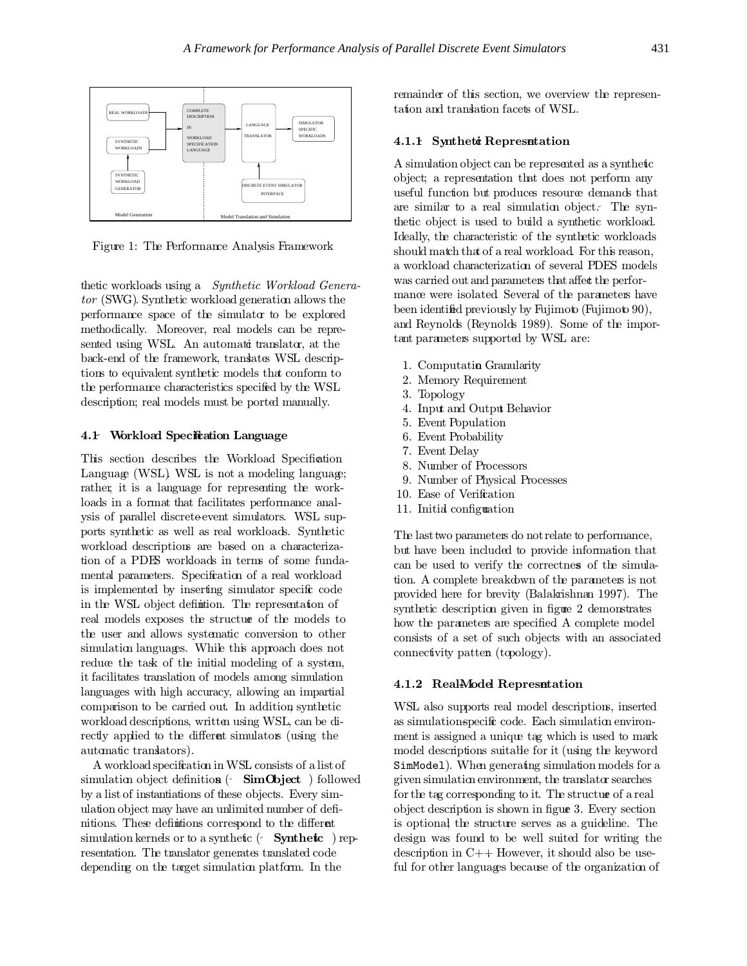

Figure 1: The Performance Analysis Framework

thetic workloads using a Synthetic Workload Generator (SWG). Synthetic workload generation allows the performance space of the simulator to be explored methodically. Moreover, real models can be represented using WSL. An automatic translator, at the back-end of the framework, translates WSL descriptions to equivalentsynthetic models that conform to the performance characteristics specified by the WSL description; real models must be ported manually.

# 4.1 Workload Specification Language

This section describes the Workload Specification Language (WSL). WSL is not a modeling language; rather, it is a language for representing the workloads in a format that facilitates performance analysis of parallel discrete-event simulators. WSL supports synthetic as well as real workloads. Synthetic workload descriptions are based on a characterization of a PDES workloads in terms of some fundamental parameters. Specification of a real workload is implemented by inserting simulator specific code in the WSL object definition. The representation of real models exposes the structure of the models to the user and allows systematic conversion to other simulation languages. While this approach does not reduce the task of the initial modeling of a system, it facilitates translation of models among simulation languages with high accuracy, allowing an impartial comparison to be carried out. In addition, synthetic workload descriptions, written using WSL, can be directly applied to the different simulators (using the automatic translators).

A workload specification in WSL consists of a listof simulation object definition  $\left\langle \right.$  SimObject ) followed by a list of instantiations of these objects. Every simulation object may have an unlimited number of definitions. These definitions correspond to the different simulation kernels or to a synthetic  $\left( \cdot \right)$  Synthetic ) representation. The translator generates translated code depending on the target simulation platform. In the

remainder of this section, we overview the representation and translation facets of WSL.

## 4.1.1 Synthetic Representation

A simulation object can be represented as a synthetic object; a representation that does not perform any useful function but produces resource demands that are similar to a real simulation object. The synthetic object is used to build a synthetic workload. Ideally, the characteristic of the synthetic workloads should match that of a real workload. For this reason, a workload characterization of several PDES models was carried out and parameters that affect the performance were isolated. Several of the parameters have been identified previously by Fujimoto (Fujimoto 90), and Reynolds (Reynolds 1989). Some of the important parameters supported by WSL are:

- 1. Computation Granularity
- 2. Memory Requirement
- 3. Topology
- 4. Input and Output Behavior
- 5. Event Population
- 6. Event Probability
- 7. Event Delay
- 8. Number of Processors
- 9. Number of Physical Processes
- 10. Ease of Verification
- 11. Initial configuration

The last two parameters do not relate to performance, but have been included to provide information that can be used to verify the correctness of the simulation. A complete breakdown of the parameters is not provided here for brevity (Balakrishnan 1997). The synthetic description given in figure 2 demonstrates how the parameters are specified. A complete model consists of a set of such objects with an associated connectivity pattern (topology).

# 4.1.2 Real-Model Representation

WSL also supports real model descriptions, inserted as simulation-specific code. Each simulation environment is assigned a unique tag which is used to mark model descriptions suitable for it (using the keyword SimModel). When generating simulation models for a given simulation environment, the translator searches for the tag corresponding to it. The structure of a real object description is shown in figure 3. Every section is optional; the structure serves as a guideline. The design was found to be well suited for writing the description in  $C++$  However, it should also be useful for other languages because of the organization of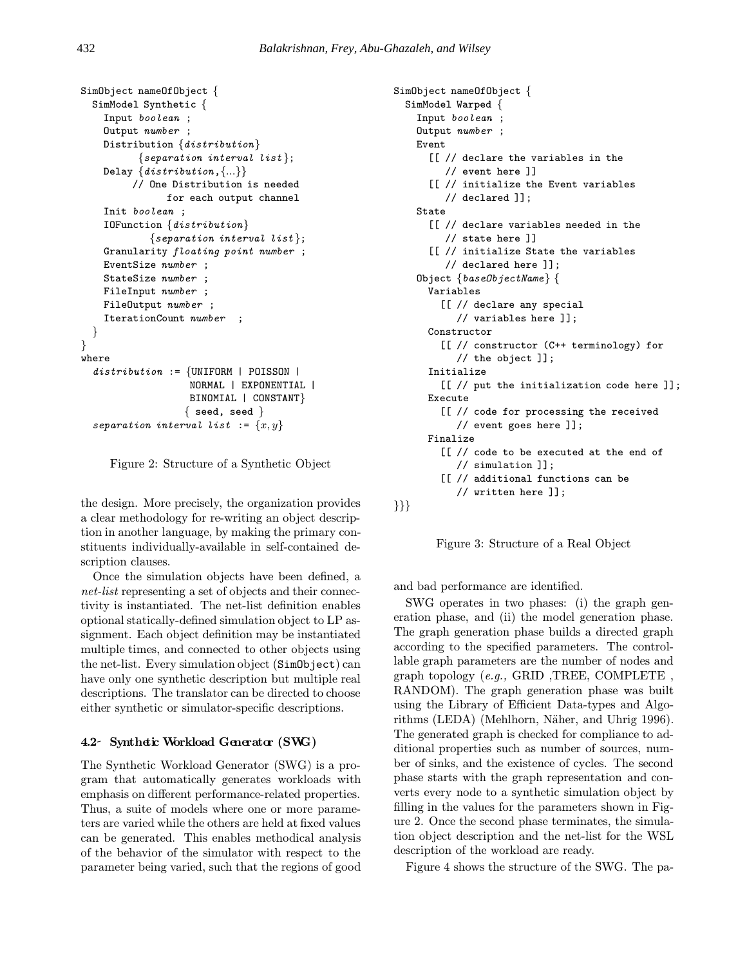```
SimObject nameOfObject {
  SimModel Synthetic {
    Input boolean ;
   Output number ;
   Distribution {distribution}
          {separation\ interval\ list};Delay \{distribution, \{...\}\}// One Distribution is needed
               for each output channel
    Init boolean ;
    IOFunction {distribution}
            {separation\ interval\ list};Granularity floating point number ;
    EventSize number ;
    StateSize number ;
   FileInput number ;
   FileOutput number ;
    IterationCount number ;
  }
}
where
  distribution := \{UNIFORM | POISSON |NORMAL | EXPONENTIAL |
                   BINOMIAL | CONSTANT}
                  \{ seed, seed \}separation interval list := \{x, y\}
```


the design. More precisely, the organization provides a clear methodology for re-writing an object description in another language, by making the primary constituents individually-available in self-contained description clauses.

Once the simulation objects have been defined, a net-list representing a set of objects and their connectivity is instantiated. The net-list definition enables optional statically-defined simulation object to LP assignment. Each object definition may be instantiated multiple times, and connected to other objects using the net-list. Every simulation object (SimObject) can have only one synthetic description but multiple real descriptions. The translator can be directed to choose either synthetic or simulator-specific descriptions.

# 4.2 Synthetic Workload Generator (SWG)

The Synthetic Workload Generator (SWG) is a program that automatically generates workloads with emphasis on different performance-related properties. Thus, a suite of models where one or more parameters are varied while the others are held at fixed values can be generated. This enables methodical analysis of the behavior of the simulator with respect to the parameter being varied, such that the regions of good

```
SimObject nameOfObject {
 SimModel Warped {
   Input boolean ;
   Output number ;
   Event
      [[ // declare the variables in the
         // event here ]]
      [[ // initialize the Event variables
         // declared ]];
   State
      [[ // declare variables needed in the
         // state here ]]
      [[ // initialize State the variables
         // declared here ]];
   Object {baseObjectName} {
      Variables
        [[ // declare any special
           // variables here ]];
      Constructor
        [[ // constructor (C++ terminology) for
           // the object ]];
      Initialize
        [[ // put the initialization code here ]];
     Execute
        [[ // code for processing the received
          // event goes here ]];
     Finalize
        [[ // code to be executed at the end of
           // simulation ]];
        [[ // additional functions can be
           // written here ]];
}}}
```


and bad performance are identified.

SWG operates in two phases: (i) the graph generation phase, and (ii) the model generation phase. The graph generation phase builds a directed graph according to the specified parameters. The controllable graph parameters are the number of nodes and graph topology (e.g., GRID ,TREE, COMPLETE , RANDOM). The graph generation phase was built using the Library of Efficient Data-types and Algorithms (LEDA) (Mehlhorn, Näher, and Uhrig 1996). The generated graph is checked for compliance to additional properties such as number of sources, number of sinks, and the existence of cycles. The second phase starts with the graph representation and converts every node to a synthetic simulation object by filling in the values for the parameters shown in Figure 2. Once the second phase terminates, the simulation object description and the net-list for the WSL description of the workload are ready.

Figure 4 shows the structure of the SWG. The pa-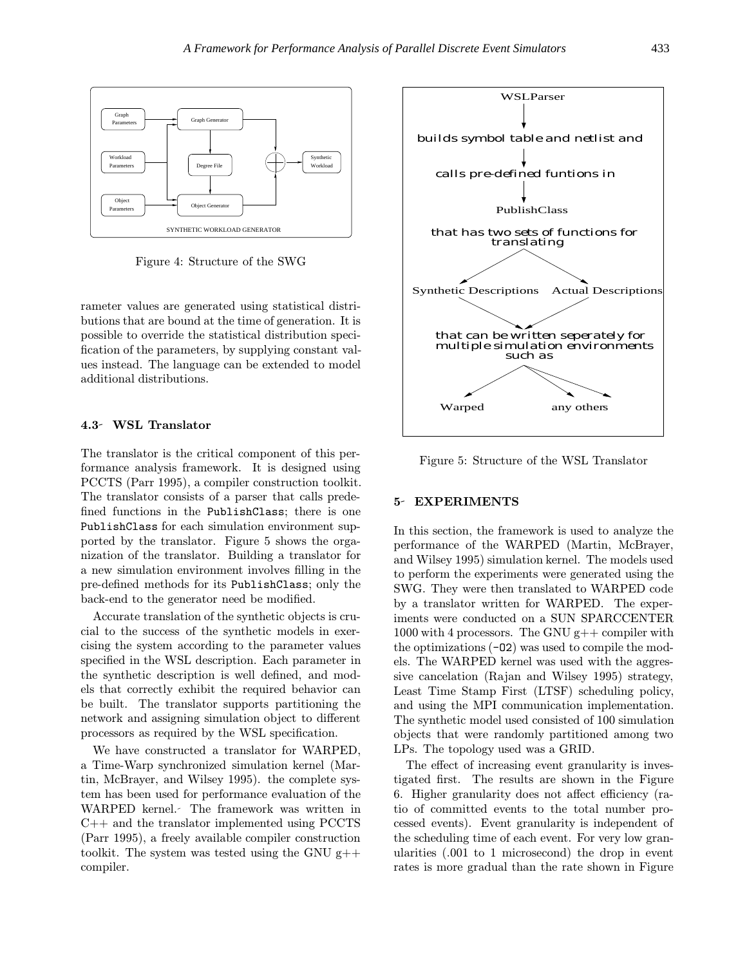

Figure 4: Structure of the SWG

rameter values are generated using statistical distributions that are bound at the time of generation. It is possible to override the statistical distribution specification of the parameters, by supplying constant values instead. The language can be extended to model additional distributions.

#### 4.3 WSL Translator

The translator is the critical component of this performance analysis framework. It is designed using PCCTS (Parr 1995), a compiler construction toolkit. The translator consists of a parser that calls predefined functions in the PublishClass; there is one PublishClass for each simulation environment supported by the translator. Figure 5 shows the organization of the translator. Building a translator for a new simulation environment involves filling in the pre-defined methods for its PublishClass; only the back-end to the generator need be modified.

Accurate translation of the synthetic objects is crucial to the success of the synthetic models in exercising the system according to the parameter values specified in the WSL description. Each parameter in the synthetic description is well defined, and models that correctly exhibit the required behavior can be built. The translator supports partitioning the network and assigning simulation object to different processors as required by the WSL specification.

We have constructed a translator for WARPED, a Time-Warp synchronized simulation kernel (Martin, McBrayer, and Wilsey 1995). the complete system has been used for performance evaluation of the WARPED kernel. The framework was written in C++ and the translator implemented using PCCTS (Parr 1995), a freely available compiler construction toolkit. The system was tested using the GNU  $g$ ++ compiler.



Figure 5: Structure of the WSL Translator

# 5 EXPERIMENTS

In this section, the framework is used to analyze the performance of the WARPED (Martin, McBrayer, and Wilsey 1995) simulation kernel. The models used to perform the experiments were generated using the SWG. They were then translated to WARPED code by a translator written for WARPED. The experiments were conducted on a SUN SPARCCENTER 1000 with 4 processors. The GNU  $g++$  compiler with the optimizations  $(-02)$  was used to compile the models. The WARPED kernel was used with the aggressive cancelation (Rajan and Wilsey 1995) strategy, Least Time Stamp First (LTSF) scheduling policy, and using the MPI communication implementation. The synthetic model used consisted of 100 simulation objects that were randomly partitioned among two LPs. The topology used was a GRID.

The effect of increasing event granularity is investigated first. The results are shown in the Figure 6. Higher granularity does not affect efficiency (ratio of committed events to the total number processed events). Event granularity is independent of the scheduling time of each event. For very low granularities (.001 to 1 microsecond) the drop in event rates is more gradual than the rate shown in Figure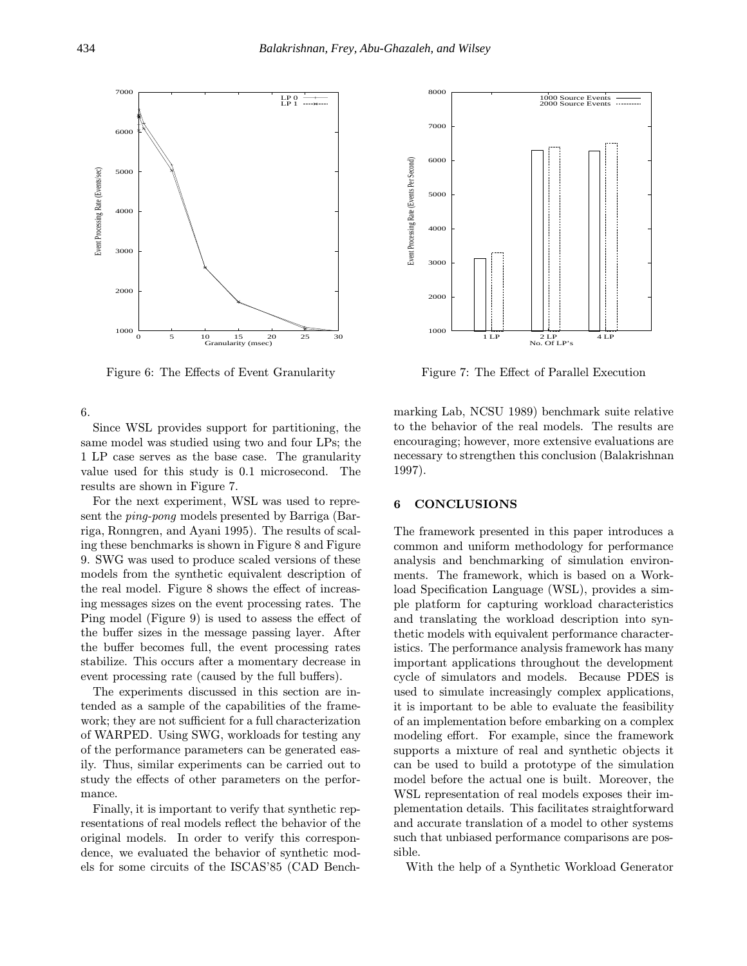

Figure 6: The Effects of Event Granularity

6.

Since WSL provides support for partitioning, the same model was studied using two and four LPs; the 1 LP case serves as the base case. The granularity value used for this study is 0.1 microsecond. The results are shown in Figure 7.

For the next experiment, WSL was used to represent the ping-pong models presented by Barriga (Barriga, Ronngren, and Ayani 1995). The results of scaling these benchmarks is shown in Figure 8 and Figure 9. SWG was used to produce scaled versions of these models from the synthetic equivalent description of the real model. Figure 8 shows the effect of increasing messages sizes on the event processing rates. The Ping model (Figure 9) is used to assess the effect of the buffer sizes in the message passing layer. After the buffer becomes full, the event processing rates stabilize. This occurs after a momentary decrease in event processing rate (caused by the full buffers).

The experiments discussed in this section are intended as a sample of the capabilities of the framework; they are not sufficient for a full characterization of WARPED. Using SWG, workloads for testing any of the performance parameters can be generated easily. Thus, similar experiments can be carried out to study the effects of other parameters on the performance.

Finally, it is important to verify that synthetic representations of real models reflect the behavior of the original models. In order to verify this correspondence, we evaluated the behavior of synthetic models for some circuits of the ISCAS'85 (CAD Bench-



Figure 7: The Effect of Parallel Execution

marking Lab, NCSU 1989) benchmark suite relative to the behavior of the real models. The results are encouraging; however, more extensive evaluations are necessary to strengthen this conclusion (Balakrishnan 1997).

### 6 CONCLUSIONS

The framework presented in this paper introduces a common and uniform methodology for performance analysis and benchmarking of simulation environments. The framework, which is based on a Workload Specification Language (WSL), provides a simple platform for capturing workload characteristics and translating the workload description into synthetic models with equivalent performance characteristics. The performance analysis framework has many important applications throughout the development cycle of simulators and models. Because PDES is used to simulate increasingly complex applications, it is important to be able to evaluate the feasibility of an implementation before embarking on a complex modeling effort. For example, since the framework supports a mixture of real and synthetic objects it can be used to build a prototype of the simulation model before the actual one is built. Moreover, the WSL representation of real models exposes their implementation details. This facilitates straightforward and accurate translation of a model to other systems such that unbiased performance comparisons are possible.

With the help of a Synthetic Workload Generator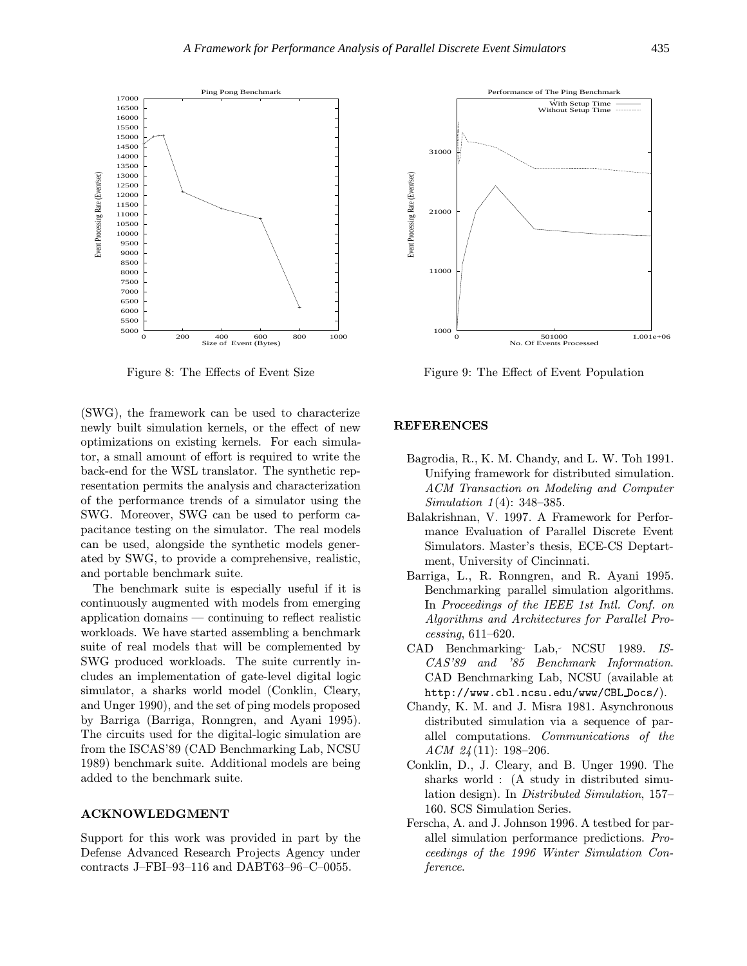

Figure 8: The Effects of Event Size

(SWG), the framework can be used to characterize newly built simulation kernels, or the effect of new optimizations on existing kernels. For each simulator, a small amount of effort is required to write the back-end for the WSL translator. The synthetic representation permits the analysis and characterization of the performance trends of a simulator using the SWG. Moreover, SWG can be used to perform capacitance testing on the simulator. The real models can be used, alongside the synthetic models generated by SWG, to provide a comprehensive, realistic, and portable benchmark suite.

The benchmark suite is especially useful if it is continuously augmented with models from emerging application domains — continuing to reflect realistic workloads. We have started assembling a benchmark suite of real models that will be complemented by SWG produced workloads. The suite currently includes an implementation of gate-level digital logic simulator, a sharks world model (Conklin, Cleary, and Unger 1990), and the set of ping models proposed by Barriga (Barriga, Ronngren, and Ayani 1995). The circuits used for the digital-logic simulation are from the ISCAS'89 (CAD Benchmarking Lab, NCSU 1989) benchmark suite. Additional models are being added to the benchmark suite.

#### ACKNOWLEDGMENT

Support for this work was provided in part by the Defense Advanced Research Projects Agency under contracts J–FBI–93–116 and DABT63–96–C–0055.



Figure 9: The Effect of Event Population

#### REFERENCES

- Bagrodia, R., K. M. Chandy, and L. W. Toh 1991. Unifying framework for distributed simulation. ACM Transaction on Modeling and Computer Simulation 1(4): 348–385.
- Balakrishnan, V. 1997. A Framework for Performance Evaluation of Parallel Discrete Event Simulators. Master's thesis, ECE-CS Deptartment, University of Cincinnati.
- Barriga, L., R. Ronngren, and R. Ayani 1995. Benchmarking parallel simulation algorithms. In Proceedings of the IEEE 1st Intl. Conf. on Algorithms and Architectures for Parallel Processing, 611–620.
- CAD Benchmarking Lab, NCSU 1989. IS-CAS'89 and '85 Benchmark Information. CAD Benchmarking Lab, NCSU (available at http://www.cbl.ncsu.edu/www/CBL Docs/).
- Chandy, K. M. and J. Misra 1981. Asynchronous distributed simulation via a sequence of parallel computations. Communications of the  $ACM$  24(11): 198-206.
- Conklin, D., J. Cleary, and B. Unger 1990. The sharks world : (A study in distributed simulation design). In Distributed Simulation, 157– 160. SCS Simulation Series.
- Ferscha, A. and J. Johnson 1996. A testbed for parallel simulation performance predictions. Proceedings of the 1996 Winter Simulation Conference.